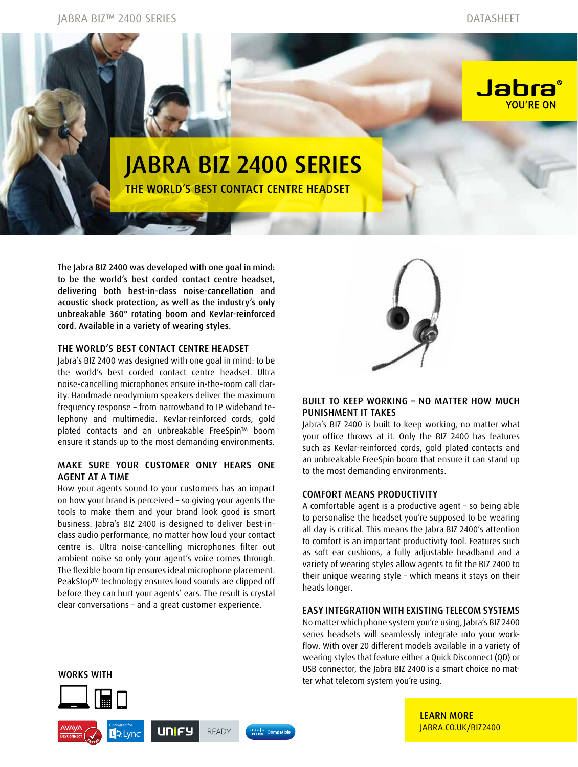Jabra

YOU'RE ON

# Jabra BIZ 2400 Series THE WORLD'S BEST CONTACT CENTRE HEADSET

The Jabra BIZ 2400 was developed with one goal in mind: to be the world's best corded contact centre headset, delivering both best-in-class noise-cancellation and acoustic shock protection, as well as the industry's only unbreakable 360° rotating boom and Kevlar-reinforced cord. Available in a variety of wearing styles.

## THE WORLD'S BEST CONTACT CENTRE HEADSET

Jabra's BIZ 2400 was designed with one goal in mind: to be the world's best corded contact centre headset. Ultra noise-cancelling microphones ensure in-the-room call clarity. Handmade neodymium speakers deliver the maximum frequency response – from narrowband to IP wideband telephony and multimedia. Kevlar-reinforced cords, gold plated contacts and an unbreakable FreeSpin™ boom ensure it stands up to the most demanding environments.

## Make sure your customer only hears one agent at a time

How your agents sound to your customers has an impact on how your brand is perceived – so giving your agents the tools to make them and your brand look good is smart business. Jabra's BIZ 2400 is designed to deliver best-inclass audio performance, no matter how loud your contact centre is. Ultra noise-cancelling microphones filter out ambient noise so only your agent's voice comes through. The flexible boom tip ensures ideal microphone placement. PeakStop™ technology ensures loud sounds are clipped off before they can hurt your agents' ears. The result is crystal clear conversations – and a great customer experience.



## Built to keep working – no matter how much punishment it takes

Jabra's BIZ 2400 is built to keep working, no matter what your office throws at it. Only the BIZ 2400 has features such as Kevlar-reinforced cords, gold plated contacts and an unbreakable FreeSpin boom that ensure it can stand up to the most demanding environments.

#### Comfort means productivity

A comfortable agent is a productive agent – so being able to personalise the headset you're supposed to be wearing all day is critical. This means the Jabra BIZ 2400's attention to comfort is an important productivity tool. Features such as soft ear cushions, a fully adjustable headband and a variety of wearing styles allow agents to fit the BIZ 2400 to their unique wearing style – which means it stays on their heads longer.

#### Easy integration with existing telecom systems

No matter which phone system you're using, Jabra's BIZ 2400 series headsets will seamlessly integrate into your workflow. With over 20 different models available in a variety of wearing styles that feature either a Quick Disconnect (QD) or USB connector, the Jabra BIZ 2400 is a smart choice no mat-



**Li** > Lync

**UNIFY** 

**READY** 

dudu<br>cisco Compatible

**<sup>T</sup> <sup>E</sup> <sup>S</sup> <sup>T</sup> <sup>E</sup> <sup>D</sup>**

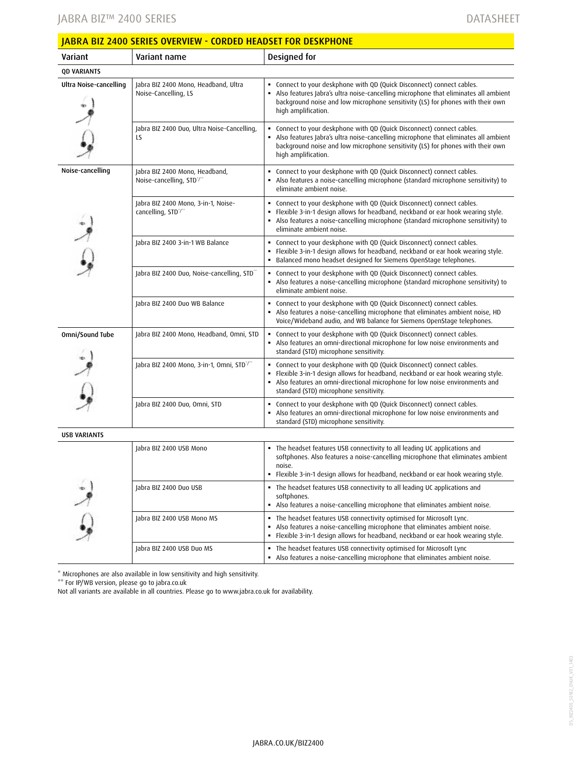## Jabra BIZ™ 2400 Series

| <b>JABRA BIZ 2400 SERIES OVERVIEW - CORDED HEADSET FOR DESKPHONE</b> |                                                              |                                                                                                                                                                                                                                                                                    |
|----------------------------------------------------------------------|--------------------------------------------------------------|------------------------------------------------------------------------------------------------------------------------------------------------------------------------------------------------------------------------------------------------------------------------------------|
| Variant                                                              | Variant name                                                 | Designed for                                                                                                                                                                                                                                                                       |
| <b>QD VARIANTS</b>                                                   |                                                              |                                                                                                                                                                                                                                                                                    |
| Ultra Noise-cancelling                                               | Jabra BIZ 2400 Mono, Headband, Ultra<br>Noise-Cancelling, LS | Connect to your deskphone with QD (Quick Disconnect) connect cables.<br>Also features Jabra's ultra noise-cancelling microphone that eliminates all ambient<br>background noise and low microphone sensitivity (LS) for phones with their own<br>high amplification.               |
|                                                                      | Jabra BIZ 2400 Duo, Ultra Noise-Cancelling,<br>LS            | Connect to your deskphone with QD (Quick Disconnect) connect cables.<br>Also features Jabra's ultra noise-cancelling microphone that eliminates all ambient<br>background noise and low microphone sensitivity (LS) for phones with their own<br>high amplification.               |
| Noise-cancelling                                                     | Jabra BIZ 2400 Mono, Headband,<br>Noise-cancelling, STD°/**  | Connect to your deskphone with QD (Quick Disconnect) connect cables.<br>• Also features a noise-cancelling microphone (standard microphone sensitivity) to<br>eliminate ambient noise.                                                                                             |
|                                                                      | Jabra BIZ 2400 Mono, 3-in-1, Noise-<br>cancelling, STD°/**   | • Connect to your deskphone with QD (Quick Disconnect) connect cables.<br>Flexible 3-in-1 design allows for headband, neckband or ear hook wearing style.<br>• Also features a noise-cancelling microphone (standard microphone sensitivity) to<br>eliminate ambient noise.        |
|                                                                      | Jabra BIZ 2400 3-in-1 WB Balance                             | Connect to your deskphone with QD (Quick Disconnect) connect cables.<br>Flexible 3-in-1 design allows for headband, neckband or ear hook wearing style.<br>Balanced mono headset designed for Siemens OpenStage telephones.                                                        |
|                                                                      | Jabra BIZ 2400 Duo, Noise-cancelling, STD**                  | • Connect to your deskphone with QD (Quick Disconnect) connect cables.<br>Also features a noise-cancelling microphone (standard microphone sensitivity) to<br>eliminate ambient noise.                                                                                             |
|                                                                      | Jabra BIZ 2400 Duo WB Balance                                | Connect to your deskphone with QD (Quick Disconnect) connect cables.<br>Also features a noise-cancelling microphone that eliminates ambient noise, HD<br>Voice/Wideband audio, and WB balance for Siemens OpenStage telephones.                                                    |
| Omni/Sound Tube                                                      | Jabra BIZ 2400 Mono, Headband, Omni, STD                     | Connect to your deskphone with QD (Quick Disconnect) connect cables.<br>Also features an omni-directional microphone for low noise environments and<br>standard (STD) microphone sensitivity.                                                                                      |
|                                                                      | Jabra BIZ 2400 Mono, 3-in-1, Omni, STD*/**                   | • Connect to your deskphone with QD (Quick Disconnect) connect cables.<br>Flexible 3-in-1 design allows for headband, neckband or ear hook wearing style.<br>Also features an omni-directional microphone for low noise environments and<br>standard (STD) microphone sensitivity. |
|                                                                      | Jabra BIZ 2400 Duo, Omni, STD                                | Connect to your deskphone with QD (Quick Disconnect) connect cables.<br>Also features an omni-directional microphone for low noise environments and<br>standard (STD) microphone sensitivity.                                                                                      |
| <b>USB VARIANTS</b>                                                  |                                                              |                                                                                                                                                                                                                                                                                    |
|                                                                      | Jabra BIZ 2400 USB Mono                                      | . The headset features USB connectivity to all leading UC applications and<br>softphones. Also features a noise-cancelling microphone that eliminates ambient<br>noise.<br>Flexible 3-in-1 design allows for headband, neckband or ear hook wearing style.                         |
|                                                                      | Jabra BIZ 2400 Duo USB                                       | • The headset features USB connectivity to all leading UC applications and<br>softphones.<br>Also features a noise-cancelling microphone that eliminates ambient noise.                                                                                                            |
|                                                                      | Jabra BIZ 2400 USB Mono MS                                   | . The headset features USB connectivity optimised for Microsoft Lync.<br>Also features a noise-cancelling microphone that eliminates ambient noise.<br>. Flexible 3-in-1 design allows for headband, neckband or ear hook wearing style.                                           |
|                                                                      | Jabra BIZ 2400 USB Duo MS                                    | . The headset features USB connectivity optimised for Microsoft Lync<br>Also features a noise-cancelling microphone that eliminates ambient noise.                                                                                                                                 |

\* Microphones are also available in low sensitivity and high sensitivity.

\*\* For IP/WB version, please go to jabra.co.uk

Not all variants are available in all countries. Please go to www.jabra.co.uk for availability.